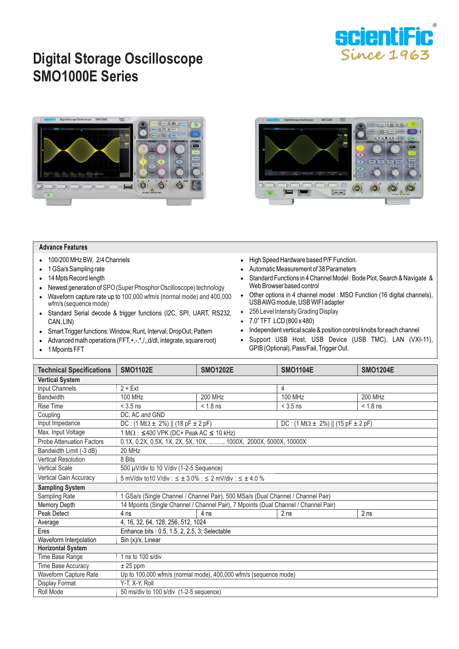

## **Digital Storage Oscilloscope SMO1000E Series**





## **Advance Features**

- 100/200 MHz BW, 2/4 Channels
- 1 GSa/s Sampling rate
- 14 Mpts Record length
- Newest generation of SPO (Super Phosphor Oscilloscope) technology
- Waveform capture rate up to 100,000 wfm/s (normal mode) and 400,000 wfm/s (sequence mode)
- Standard Serial decode & trigger functions (I2C, SPI, UART, RS232, CAN, LIN)
- Smart Trigger functions: Window, Runt, Interval, DropOut, Pattern
- Advanced math operations  $(FFT, +, -, *, /, , d/dt,$  integrate, square root)
	- 1 Mpoints FFT
- High Speed Hardware based P/F Function.
- Automatic Measurement of 38 Parameters
- Standard Functions in 4 Channel Model : Bode Plot, Search & Navigate & Web Browser based control
- Other options in 4 channel model : MSO Function (16 digital channels), USB AWG module, USB WIFI adapter
- 256 Level Intensity Grading Display
- 7.0" TFT LCD (800 x 480)
- Independent vertical scale & position control knobs for each channel
- Support USB Host, USB Device (USB TMC), LAN (VXI-11), GPIB (Optional), Pass/Fail, Trigger Out.

| 1 Mpoints F.F. I |  |  |
|------------------|--|--|
|                  |  |  |

| <b>Technical Specifications</b>  | <b>SMO1102E</b>                                                                     | <b>SMO1202E</b>                                                  | <b>SMO1104E</b>                               | <b>SMO1204E</b> |  |  |
|----------------------------------|-------------------------------------------------------------------------------------|------------------------------------------------------------------|-----------------------------------------------|-----------------|--|--|
| <b>Vertical System</b>           |                                                                                     |                                                                  |                                               |                 |  |  |
| Input Channels                   | $2 + Ext$<br>4                                                                      |                                                                  |                                               |                 |  |  |
| Bandwidth                        | 200 MHz<br>100 MHz<br><b>100 MHz</b><br>200 MHz                                     |                                                                  |                                               |                 |  |  |
| <b>Rise Time</b>                 | $<$ 3.5 ns                                                                          | $< 1.8$ ns                                                       | $<$ 3.5 ns                                    | $< 1.8$ ns      |  |  |
| Coupling                         | DC, AC and GND                                                                      |                                                                  |                                               |                 |  |  |
| Input Impedance                  | DC: $(1 M\Omega \pm 2\%)$    $(18 pF \pm 2 pF)$                                     |                                                                  | DC: $(1 M\Omega \pm 2\%)    (15 pF \pm 2 pF)$ |                 |  |  |
| Max. Input Voltage               | $1 M\Omega$ : ≤400 VPK (DC+ Peak AC ≤ 10 kHz)                                       |                                                                  |                                               |                 |  |  |
| <b>Probe Attenuation Factors</b> |                                                                                     | 0.1X, 0.2X, 0.5X, 1X, 2X, 5X, 10X, , 1000X, 2000X, 5000X, 10000X |                                               |                 |  |  |
| Bandwidth Limit (-3 dB)          | 20 MHz                                                                              |                                                                  |                                               |                 |  |  |
| <b>Vertical Resolution</b>       | 8 Bits                                                                              |                                                                  |                                               |                 |  |  |
| <b>Vertical Scale</b>            | 500 µV/div to 10 V/div (1-2-5 Sequence)                                             |                                                                  |                                               |                 |  |  |
| <b>Vertical Gain Accuracy</b>    | 5 mV/div to 10 V/div : $\leq \pm 3.0\%$ , $\leq 2$ mV/div : $\leq \pm 4.0\%$        |                                                                  |                                               |                 |  |  |
| <b>Sampling System</b>           |                                                                                     |                                                                  |                                               |                 |  |  |
| Sampling Rate                    | 1 GSa/s (Single Channel / Channel Pair), 500 MSa/s (Dual Channel / Channel Pair)    |                                                                  |                                               |                 |  |  |
| Memory Depth                     | 14 Mpoints (Single Channel / Channel Pair), 7 Mpoints (Dual Channel / Channel Pair) |                                                                  |                                               |                 |  |  |
| Peak Detect                      | 2 <sub>ns</sub><br>4 <sub>ns</sub><br>4 <sub>ns</sub><br>2 <sub>ns</sub>            |                                                                  |                                               |                 |  |  |
| Average                          | 4, 16, 32, 64, 128, 256, 512, 1024                                                  |                                                                  |                                               |                 |  |  |
| Eres                             | Enhance bits : 0.5, 1.5, 2, 2.5, 3; Selectable                                      |                                                                  |                                               |                 |  |  |
| Waveform Interpolation           | Sin (x)/x, Linear                                                                   |                                                                  |                                               |                 |  |  |
| <b>Horizontal System</b>         |                                                                                     |                                                                  |                                               |                 |  |  |
| Time Base Range                  | 1 ns to $100$ s/div                                                                 |                                                                  |                                               |                 |  |  |
| Time Base Accuracy               | $± 25$ ppm                                                                          |                                                                  |                                               |                 |  |  |
| Waveform Capture Rate            | Up to 100,000 wfm/s (normal mode), 400,000 wfm/s (sequence mode)                    |                                                                  |                                               |                 |  |  |
| Display Format                   | Y-T, X-Y, Roll                                                                      |                                                                  |                                               |                 |  |  |
| Roll Mode                        | 50 ms/div to 100 s/div (1-2-5 sequence)                                             |                                                                  |                                               |                 |  |  |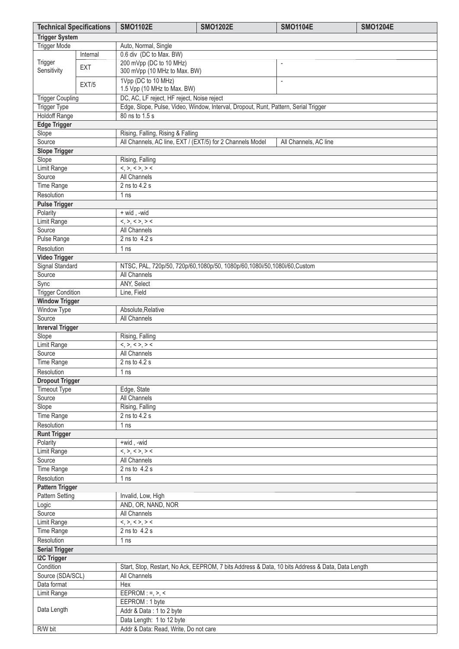| <b>Technical Specifications</b>                                                                               |                      | <b>SMO1102E</b>                                                                | <b>SMO1202E</b>                                                                     | <b>SMO1104E</b>       | <b>SMO1204E</b> |  |  |
|---------------------------------------------------------------------------------------------------------------|----------------------|--------------------------------------------------------------------------------|-------------------------------------------------------------------------------------|-----------------------|-----------------|--|--|
| <b>Trigger System</b>                                                                                         |                      |                                                                                |                                                                                     |                       |                 |  |  |
| <b>Trigger Mode</b>                                                                                           | Auto, Normal, Single |                                                                                |                                                                                     |                       |                 |  |  |
|                                                                                                               | Internal             | 0.6 div (DC to Max. BW)                                                        |                                                                                     |                       |                 |  |  |
| Trigger<br>Sensitivity                                                                                        | EXT                  | 200 mVpp (DC to 10 MHz)<br>$\overline{a}$<br>300 mVpp (10 MHz to Max. BW)      |                                                                                     |                       |                 |  |  |
|                                                                                                               | EXT/5                | 1Vpp (DC to 10 MHz)<br>$\overline{\phantom{a}}$<br>1.5 Vpp (10 MHz to Max. BW) |                                                                                     |                       |                 |  |  |
| <b>Trigger Coupling</b>                                                                                       |                      | DC, AC, LF reject, HF reject, Noise reject                                     |                                                                                     |                       |                 |  |  |
| Trigger Type                                                                                                  |                      |                                                                                | Edge, Slope, Pulse, Video, Window, Interval, Dropout, Runt, Pattern, Serial Trigger |                       |                 |  |  |
| <b>Holdoff Range</b>                                                                                          |                      | 80 ns to 1.5 s                                                                 |                                                                                     |                       |                 |  |  |
| <b>Edge Trigger</b>                                                                                           |                      |                                                                                |                                                                                     |                       |                 |  |  |
| Slope                                                                                                         |                      | Rising, Falling, Rising & Falling                                              |                                                                                     |                       |                 |  |  |
| Source                                                                                                        |                      | All Channels, AC line, EXT / (EXT/5) for 2 Channels Model                      |                                                                                     | All Channels, AC line |                 |  |  |
| <b>Slope Trigger</b>                                                                                          |                      |                                                                                |                                                                                     |                       |                 |  |  |
| Slope                                                                                                         |                      | Rising, Falling                                                                |                                                                                     |                       |                 |  |  |
| <b>Limit Range</b>                                                                                            |                      | $\langle , \rangle, \langle \rangle, \rangle$                                  |                                                                                     |                       |                 |  |  |
| Source                                                                                                        |                      | <b>All Channels</b><br>2 ns to 4.2 s                                           |                                                                                     |                       |                 |  |  |
| Time Range                                                                                                    |                      |                                                                                |                                                                                     |                       |                 |  |  |
| Resolution<br><b>Pulse Trigger</b>                                                                            |                      | 1 ns                                                                           |                                                                                     |                       |                 |  |  |
| Polarity                                                                                                      |                      | + wid, -wid                                                                    |                                                                                     |                       |                 |  |  |
| Limit Range                                                                                                   |                      | <,>,<>,>                                                                       |                                                                                     |                       |                 |  |  |
| Source                                                                                                        |                      | All Channels                                                                   |                                                                                     |                       |                 |  |  |
| Pulse Range                                                                                                   |                      | 2 ns to 4.2 s                                                                  |                                                                                     |                       |                 |  |  |
| Resolution                                                                                                    |                      | 1 <sub>ns</sub>                                                                |                                                                                     |                       |                 |  |  |
| <b>Video Trigger</b>                                                                                          |                      |                                                                                |                                                                                     |                       |                 |  |  |
| Signal Standard                                                                                               |                      |                                                                                | NTSC, PAL, 720p/50, 720p/60,1080p/50, 1080p/60,1080i/50,1080i/60,Custom             |                       |                 |  |  |
| Source                                                                                                        |                      | <b>All Channels</b>                                                            |                                                                                     |                       |                 |  |  |
| Sync                                                                                                          |                      | ANY, Select                                                                    |                                                                                     |                       |                 |  |  |
| <b>Trigger Condition</b>                                                                                      |                      | Line, Field                                                                    |                                                                                     |                       |                 |  |  |
| <b>Window Trigger</b>                                                                                         |                      |                                                                                |                                                                                     |                       |                 |  |  |
| Window Type                                                                                                   |                      | Absolute, Relative                                                             |                                                                                     |                       |                 |  |  |
| Source                                                                                                        |                      | All Channels                                                                   |                                                                                     |                       |                 |  |  |
| <b>Inrerval Trigger</b>                                                                                       |                      |                                                                                |                                                                                     |                       |                 |  |  |
| Slope                                                                                                         |                      | Rising, Falling                                                                |                                                                                     |                       |                 |  |  |
| Limit Range                                                                                                   |                      | $\langle , \rangle, \langle \rangle, \rangle$                                  |                                                                                     |                       |                 |  |  |
| Source                                                                                                        |                      | <b>All Channels</b>                                                            |                                                                                     |                       |                 |  |  |
| Time Range                                                                                                    |                      | 2 ns to 4.2 s                                                                  |                                                                                     |                       |                 |  |  |
| Resolution                                                                                                    |                      | 1 <sub>ns</sub>                                                                |                                                                                     |                       |                 |  |  |
| <b>Dropout Trigger</b><br><b>Timeout Type</b>                                                                 |                      | Edge, State                                                                    |                                                                                     |                       |                 |  |  |
| Source                                                                                                        |                      | All Channels                                                                   |                                                                                     |                       |                 |  |  |
| Slope                                                                                                         |                      | Rising, Falling                                                                |                                                                                     |                       |                 |  |  |
| Time Range                                                                                                    |                      | 2 ns to 4.2 s                                                                  |                                                                                     |                       |                 |  |  |
| Resolution                                                                                                    |                      | 1 <sub>ns</sub>                                                                |                                                                                     |                       |                 |  |  |
| <b>Runt Trigger</b>                                                                                           |                      |                                                                                |                                                                                     |                       |                 |  |  |
| Polarity                                                                                                      |                      | +wid, -wid                                                                     |                                                                                     |                       |                 |  |  |
| Limit Range                                                                                                   |                      | <,>,<>,>                                                                       |                                                                                     |                       |                 |  |  |
| Source                                                                                                        |                      | All Channels                                                                   |                                                                                     |                       |                 |  |  |
| Time Range                                                                                                    |                      | 2 ns to 4.2 s                                                                  |                                                                                     |                       |                 |  |  |
| Resolution                                                                                                    |                      | 1 <sub>ns</sub>                                                                |                                                                                     |                       |                 |  |  |
| <b>Pattern Trigger</b>                                                                                        |                      |                                                                                |                                                                                     |                       |                 |  |  |
| Pattern Setting                                                                                               |                      | Invalid, Low, High                                                             |                                                                                     |                       |                 |  |  |
| Logic                                                                                                         |                      | AND, OR, NAND, NOR                                                             |                                                                                     |                       |                 |  |  |
| Source                                                                                                        |                      | <b>All Channels</b>                                                            |                                                                                     |                       |                 |  |  |
| Limit Range                                                                                                   |                      | <,>,<>,>                                                                       |                                                                                     |                       |                 |  |  |
| Time Range<br>Resolution                                                                                      |                      | 2 ns to 4.2 s                                                                  |                                                                                     |                       |                 |  |  |
| 1 ns<br><b>Serial Trigger</b>                                                                                 |                      |                                                                                |                                                                                     |                       |                 |  |  |
| <b>I2C Trigger</b>                                                                                            |                      |                                                                                |                                                                                     |                       |                 |  |  |
| Condition<br>Start, Stop, Restart, No Ack, EEPROM, 7 bits Address & Data, 10 bits Address & Data, Data Length |                      |                                                                                |                                                                                     |                       |                 |  |  |
| Source (SDA/SCL)                                                                                              |                      | All Channels                                                                   |                                                                                     |                       |                 |  |  |
| Data format                                                                                                   |                      | Hex                                                                            |                                                                                     |                       |                 |  |  |
| Limit Range                                                                                                   |                      | $EEPROM : =, >, <$                                                             |                                                                                     |                       |                 |  |  |
|                                                                                                               |                      | EEPROM: 1 byte                                                                 |                                                                                     |                       |                 |  |  |
| Data Length                                                                                                   |                      | Addr & Data: 1 to 2 byte                                                       |                                                                                     |                       |                 |  |  |
|                                                                                                               |                      | Data Length: 1 to 12 byte                                                      |                                                                                     |                       |                 |  |  |
| R/W bit                                                                                                       |                      | Addr & Data: Read, Write, Do not care                                          |                                                                                     |                       |                 |  |  |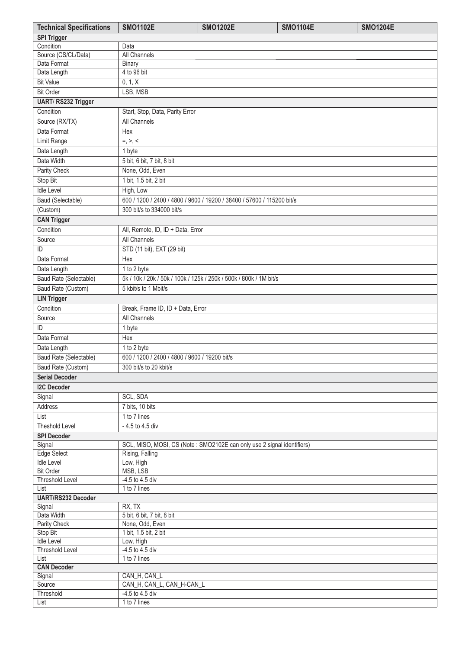| <b>Technical Specifications</b>     | <b>SMO1102E</b>                                  | <b>SMO1202E</b>                                                        | <b>SMO1104E</b> | <b>SMO1204E</b> |
|-------------------------------------|--------------------------------------------------|------------------------------------------------------------------------|-----------------|-----------------|
| <b>SPI Trigger</b>                  |                                                  |                                                                        |                 |                 |
| Condition                           | Data                                             |                                                                        |                 |                 |
| Source (CS/CL/Data)                 | All Channels                                     |                                                                        |                 |                 |
| Data Format                         | Binary                                           |                                                                        |                 |                 |
| Data Length                         | 4 to 96 bit                                      |                                                                        |                 |                 |
| <b>Bit Value</b>                    | 0, 1, X                                          |                                                                        |                 |                 |
| <b>Bit Order</b>                    | LSB, MSB                                         |                                                                        |                 |                 |
| UART/RS232 Trigger                  |                                                  |                                                                        |                 |                 |
| Condition                           | Start, Stop, Data, Parity Error                  |                                                                        |                 |                 |
| Source (RX/TX)                      | <b>All Channels</b>                              |                                                                        |                 |                 |
| Data Format                         | Hex                                              |                                                                        |                 |                 |
| Limit Range                         | $=, >, <$                                        |                                                                        |                 |                 |
| Data Length                         | 1 byte                                           |                                                                        |                 |                 |
| Data Width                          | 5 bit, 6 bit, 7 bit, 8 bit                       |                                                                        |                 |                 |
| Parity Check                        | None, Odd, Even                                  |                                                                        |                 |                 |
| Stop Bit                            | 1 bit, 1.5 bit, 2 bit                            |                                                                        |                 |                 |
| <b>Idle Level</b>                   | High, Low                                        |                                                                        |                 |                 |
| Baud (Selectable)                   |                                                  | 600 / 1200 / 2400 / 4800 / 9600 / 19200 / 38400 / 57600 / 115200 bit/s |                 |                 |
| (Custom)                            | 300 bit/s to 334000 bit/s                        |                                                                        |                 |                 |
| <b>CAN Trigger</b>                  |                                                  |                                                                        |                 |                 |
| Condition                           | All, Remote, ID, ID + Data, Error                |                                                                        |                 |                 |
| Source                              | All Channels                                     |                                                                        |                 |                 |
| ID                                  | STD (11 bit), EXT (29 bit)                       |                                                                        |                 |                 |
| Data Format                         | Hex                                              |                                                                        |                 |                 |
| Data Length                         | 1 to 2 byte                                      |                                                                        |                 |                 |
|                                     |                                                  | 5k / 10k / 20k / 50k / 100k / 125k / 250k / 500k / 800k / 1M bit/s     |                 |                 |
| Baud Rate (Selectable)              |                                                  |                                                                        |                 |                 |
| Baud Rate (Custom)                  | 5 kbit/s to 1 Mbit/s                             |                                                                        |                 |                 |
| <b>LIN Trigger</b>                  |                                                  |                                                                        |                 |                 |
| Condition                           | Break, Frame ID, ID + Data, Error                |                                                                        |                 |                 |
| Source                              | All Channels                                     |                                                                        |                 |                 |
| ID                                  | 1 byte                                           |                                                                        |                 |                 |
| Data Format                         | Hex                                              |                                                                        |                 |                 |
| Data Length                         | 1 to 2 byte                                      |                                                                        |                 |                 |
| <b>Baud Rate (Selectable)</b>       | 600 / 1200 / 2400 / 4800 / 9600 / 19200 bit/s    |                                                                        |                 |                 |
| Baud Rate (Custom)                  | 300 bit/s to 20 kbit/s                           |                                                                        |                 |                 |
| <b>Serial Decoder</b>               |                                                  |                                                                        |                 |                 |
| <b>I2C Decoder</b>                  |                                                  |                                                                        |                 |                 |
| Signal                              | SCL, SDA                                         |                                                                        |                 |                 |
| Address                             | 7 bits, 10 bits                                  |                                                                        |                 |                 |
| List                                | 1 to 7 lines                                     |                                                                        |                 |                 |
| <b>Theshold Level</b>               | - 4.5 to 4.5 div                                 |                                                                        |                 |                 |
| <b>SPI Decoder</b>                  |                                                  |                                                                        |                 |                 |
| Signal                              |                                                  | SCL, MISO, MOSI, CS (Note: SMO2102E can only use 2 signal identifiers) |                 |                 |
| Edge Select                         | Rising, Falling                                  |                                                                        |                 |                 |
| <b>Idle Level</b>                   | Low, High                                        |                                                                        |                 |                 |
| <b>Bit Order</b><br>Threshold Level | MSB, LSB<br>-4.5 to 4.5 div                      |                                                                        |                 |                 |
| List                                | 1 to 7 lines                                     |                                                                        |                 |                 |
| UART/RS232 Decoder                  |                                                  |                                                                        |                 |                 |
| Signal                              | RX, TX                                           |                                                                        |                 |                 |
| Data Width                          | 5 bit, 6 bit, 7 bit, 8 bit                       |                                                                        |                 |                 |
| Parity Check                        | None, Odd, Even                                  |                                                                        |                 |                 |
| Stop Bit                            | 1 bit, 1.5 bit, 2 bit                            |                                                                        |                 |                 |
| <b>Idle Level</b>                   | Low, High                                        |                                                                        |                 |                 |
| <b>Threshold Level</b>              | $-4.5$ to $4.5$ div                              |                                                                        |                 |                 |
| List                                | $1$ to $7$ lines                                 |                                                                        |                 |                 |
| <b>CAN Decoder</b>                  |                                                  |                                                                        |                 |                 |
| Signal                              | CAN_H, CAN_L                                     |                                                                        |                 |                 |
| Source<br>Threshold                 | CAN_H, CAN_L, CAN_H-CAN_L<br>$-4.5$ to $4.5$ div |                                                                        |                 |                 |
| List                                | 1 to 7 lines                                     |                                                                        |                 |                 |
|                                     |                                                  |                                                                        |                 |                 |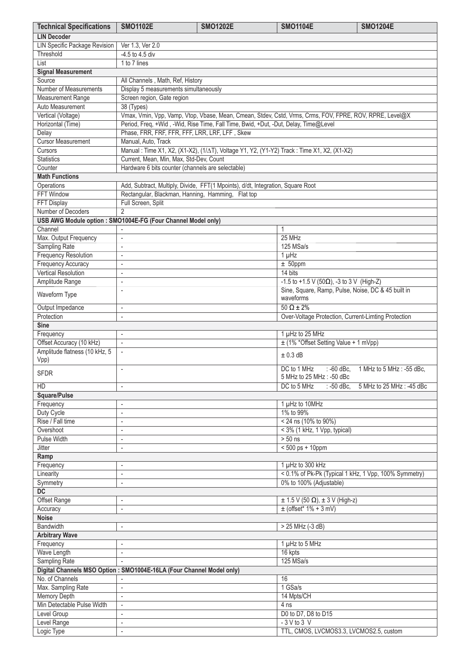| <b>Technical Specifications</b>                                      | <b>SMO1102E</b>                                                                                         | <b>SMO1202E</b>                                                                                         | <b>SMO1104E</b>                                       | <b>SMO1204E</b>           |  |  |
|----------------------------------------------------------------------|---------------------------------------------------------------------------------------------------------|---------------------------------------------------------------------------------------------------------|-------------------------------------------------------|---------------------------|--|--|
| <b>LIN Decoder</b>                                                   |                                                                                                         |                                                                                                         |                                                       |                           |  |  |
| LIN Specific Package Revision                                        | Ver 1.3, Ver 2.0                                                                                        |                                                                                                         |                                                       |                           |  |  |
| Threshold                                                            | -4.5 to 4.5 div                                                                                         |                                                                                                         |                                                       |                           |  |  |
| List                                                                 | 1 to 7 lines                                                                                            |                                                                                                         |                                                       |                           |  |  |
| <b>Signal Measurement</b>                                            |                                                                                                         |                                                                                                         |                                                       |                           |  |  |
| Source                                                               | All Channels, Math, Ref, History                                                                        |                                                                                                         |                                                       |                           |  |  |
| Number of Measurements                                               | Display 5 measurements simultaneously                                                                   |                                                                                                         |                                                       |                           |  |  |
| <b>Measurement Range</b>                                             | Screen region, Gate region                                                                              |                                                                                                         |                                                       |                           |  |  |
| Auto Measurement                                                     | 38 (Types)                                                                                              |                                                                                                         |                                                       |                           |  |  |
| Vertical (Voltage)                                                   |                                                                                                         | Vmax, Vmin, Vpp, Vamp, Vtop, Vbase, Mean, Cmean, Stdev, Cstd, Vrms, Crms, FOV, FPRE, ROV, RPRE, Level@X |                                                       |                           |  |  |
| Horizontal (Time)                                                    |                                                                                                         | Period, Freq, +Wid, -Wid, Rise Time, Fall Time, Bwid, +Dut, -Dut, Delay, Time@Level                     |                                                       |                           |  |  |
| Delay                                                                | Phase, FRR, FRF, FFR, FFF, LRR, LRF, LFF, Skew                                                          |                                                                                                         |                                                       |                           |  |  |
| <b>Cursor Measurement</b>                                            | Manual, Auto, Track                                                                                     |                                                                                                         |                                                       |                           |  |  |
| Cursors                                                              |                                                                                                         | Manual: Time X1, X2, (X1-X2), (1/ $\Delta$ T), Voltage Y1, Y2, (Y1-Y2) Track: Time X1, X2, (X1-X2)      |                                                       |                           |  |  |
| <b>Statistics</b>                                                    | Current, Mean, Min, Max, Std-Dev, Count                                                                 |                                                                                                         |                                                       |                           |  |  |
| Counter                                                              | Hardware 6 bits counter (channels are selectable)                                                       |                                                                                                         |                                                       |                           |  |  |
| <b>Math Functions</b>                                                |                                                                                                         |                                                                                                         |                                                       |                           |  |  |
| Operations<br><b>FFT Window</b>                                      | Rectangular, Blackman, Hanning, Hamming, Flat top                                                       | Add, Subtract, Multiply, Divide, FFT(1 Mpoints), d/dt, Integration, Square Root                         |                                                       |                           |  |  |
| <b>FFT Display</b>                                                   | Full Screen, Split                                                                                      |                                                                                                         |                                                       |                           |  |  |
| Number of Decoders                                                   | $\overline{2}$                                                                                          |                                                                                                         |                                                       |                           |  |  |
| USB AWG Module option : SMO1004E-FG (Four Channel Model only)        |                                                                                                         |                                                                                                         |                                                       |                           |  |  |
| Channel                                                              |                                                                                                         |                                                                                                         | 1                                                     |                           |  |  |
| Max. Output Frequency                                                | $\overline{\phantom{a}}$                                                                                |                                                                                                         | 25 MHz                                                |                           |  |  |
| Sampling Rate                                                        | $\overline{\phantom{a}}$                                                                                |                                                                                                         | 125 MSa/s                                             |                           |  |  |
| <b>Frequency Resolution</b>                                          | $\overline{\phantom{a}}$                                                                                |                                                                                                         | $1 \mu$ Hz                                            |                           |  |  |
| <b>Frequency Accuracy</b>                                            | $\overline{\phantom{a}}$                                                                                |                                                                                                         | $± 50$ ppm                                            |                           |  |  |
| <b>Vertical Resolution</b>                                           |                                                                                                         |                                                                                                         | 14 bits                                               |                           |  |  |
|                                                                      | $\overline{\phantom{a}}$<br>÷,                                                                          |                                                                                                         | -1.5 to +1.5 V (50 $\Omega$ ), -3 to 3 V (High-Z)     |                           |  |  |
| Amplitude Range                                                      | ÷,                                                                                                      |                                                                                                         | Sine, Square, Ramp, Pulse, Noise, DC & 45 built in    |                           |  |  |
| Waveform Type                                                        |                                                                                                         |                                                                                                         | waveforms                                             |                           |  |  |
| Output Impedance                                                     | $\overline{\phantom{a}}$                                                                                |                                                                                                         | $50 \Omega \pm 2\%$                                   |                           |  |  |
| Protection                                                           | $\overline{\phantom{a}}$                                                                                |                                                                                                         | Over-Voltage Protection, Current-Limting Protection   |                           |  |  |
| <b>Sine</b>                                                          |                                                                                                         |                                                                                                         |                                                       |                           |  |  |
| Frequency                                                            | $\overline{\phantom{a}}$                                                                                |                                                                                                         | 1 µHz to 25 MHz                                       |                           |  |  |
| Offset Accuracy (10 kHz)                                             | $\overline{\phantom{a}}$                                                                                |                                                                                                         | ± (1% *Offset Setting Value + 1 mVpp)                 |                           |  |  |
| Amplitude flatness (10 kHz, 5<br>Vpp)                                | $± 0.3$ dB                                                                                              |                                                                                                         |                                                       |                           |  |  |
| <b>SFDR</b>                                                          | DC to 1 MHz<br>$: -60$ dBc,<br>1 MHz to 5 MHz : -55 dBc,<br>$\overline{a}$<br>5 MHz to 25 MHz : -50 dBc |                                                                                                         |                                                       |                           |  |  |
| HD                                                                   | $\overline{\phantom{a}}$                                                                                |                                                                                                         | DC to 5 MHz<br>: -50 dBc,                             | 5 MHz to 25 MHz : -45 dBc |  |  |
| Square/Pulse                                                         |                                                                                                         |                                                                                                         |                                                       |                           |  |  |
| Frequency                                                            | $\overline{\phantom{a}}$                                                                                |                                                                                                         | 1 µHz to 10MHz                                        |                           |  |  |
| Duty Cycle                                                           | $\overline{\phantom{a}}$                                                                                |                                                                                                         | 1% to 99%                                             |                           |  |  |
| Rise / Fall time                                                     | ÷,                                                                                                      |                                                                                                         | < 24 ns (10% to 90%)                                  |                           |  |  |
| Overshoot                                                            | $\overline{\phantom{a}}$                                                                                |                                                                                                         | $<$ 3% (1 kHz, 1 Vpp, typical)                        |                           |  |  |
| <b>Pulse Width</b>                                                   | $\overline{\phantom{a}}$                                                                                |                                                                                                         | $> 50$ ns                                             |                           |  |  |
| <b>Jitter</b>                                                        | $\overline{\phantom{a}}$                                                                                |                                                                                                         | $< 500$ ps + 10ppm                                    |                           |  |  |
| Ramp                                                                 |                                                                                                         |                                                                                                         |                                                       |                           |  |  |
| Frequency                                                            | ٠                                                                                                       |                                                                                                         | 1 µHz to 300 kHz                                      |                           |  |  |
| Linearity                                                            | $\overline{\phantom{a}}$                                                                                |                                                                                                         | < 0.1% of Pk-Pk (Typical 1 kHz, 1 Vpp, 100% Symmetry) |                           |  |  |
| Symmetry                                                             | $\overline{\phantom{a}}$                                                                                |                                                                                                         | 0% to 100% (Adjustable)                               |                           |  |  |
| $\overline{DC}$                                                      |                                                                                                         |                                                                                                         |                                                       |                           |  |  |
| <b>Offset Range</b>                                                  | ÷,                                                                                                      |                                                                                                         | $\pm$ 1.5 V (50 $\Omega$ ), $\pm$ 3 V (High-z)        |                           |  |  |
| Accuracy                                                             | $\overline{\phantom{a}}$                                                                                |                                                                                                         | $\pm$ (offset* 1% + 3 mV)                             |                           |  |  |
| <b>Noise</b>                                                         |                                                                                                         |                                                                                                         |                                                       |                           |  |  |
| <b>Bandwidth</b>                                                     | ٠                                                                                                       |                                                                                                         | > 25 MHz (-3 dB)                                      |                           |  |  |
| <b>Arbitrary Wave</b>                                                |                                                                                                         |                                                                                                         |                                                       |                           |  |  |
| Frequency                                                            | ÷                                                                                                       |                                                                                                         | 1 µHz to 5 MHz                                        |                           |  |  |
| Wave Length                                                          | $\overline{\phantom{a}}$                                                                                |                                                                                                         | 16 kpts                                               |                           |  |  |
| Sampling Rate                                                        | $\mathbf{r}$                                                                                            |                                                                                                         | 125 MSa/s                                             |                           |  |  |
| Digital Channels MSO Option: SMO1004E-16LA (Four Channel Model only) |                                                                                                         |                                                                                                         |                                                       |                           |  |  |
| No. of Channels                                                      | ÷,                                                                                                      |                                                                                                         | 16                                                    |                           |  |  |
| Max. Sampling Rate                                                   | ٠                                                                                                       |                                                                                                         | 1 GSa/s                                               |                           |  |  |
| <b>Memory Depth</b>                                                  | $\overline{\phantom{a}}$                                                                                |                                                                                                         | 14 Mpts/CH                                            |                           |  |  |
| Min Detectable Pulse Width                                           | $\overline{\phantom{a}}$                                                                                |                                                                                                         | 4 <sub>ns</sub>                                       |                           |  |  |
| Level Group                                                          | $\overline{\phantom{a}}$                                                                                |                                                                                                         | D0 to D7, D8 to D15                                   |                           |  |  |
|                                                                      |                                                                                                         |                                                                                                         | $-3$ V to 3 V                                         |                           |  |  |
| Level Range                                                          | $\overline{\phantom{a}}$                                                                                |                                                                                                         | TTL, CMOS, LVCMOS3.3, LVCMOS2.5, custom               |                           |  |  |
| Logic Type                                                           | $\overline{\phantom{a}}$                                                                                |                                                                                                         |                                                       |                           |  |  |